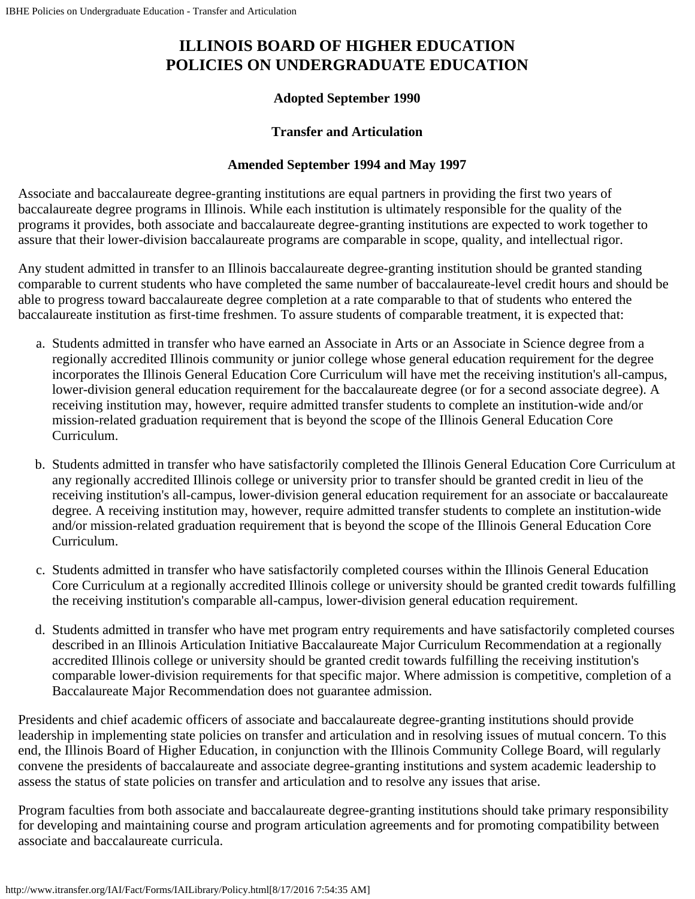## **ILLINOIS BOARD OF HIGHER EDUCATION POLICIES ON UNDERGRADUATE EDUCATION**

## **Adopted September 1990**

## **Transfer and Articulation**

## **Amended September 1994 and May 1997**

Associate and baccalaureate degree-granting institutions are equal partners in providing the first two years of baccalaureate degree programs in Illinois. While each institution is ultimately responsible for the quality of the programs it provides, both associate and baccalaureate degree-granting institutions are expected to work together to assure that their lower-division baccalaureate programs are comparable in scope, quality, and intellectual rigor.

Any student admitted in transfer to an Illinois baccalaureate degree-granting institution should be granted standing comparable to current students who have completed the same number of baccalaureate-level credit hours and should be able to progress toward baccalaureate degree completion at a rate comparable to that of students who entered the baccalaureate institution as first-time freshmen. To assure students of comparable treatment, it is expected that:

- a. Students admitted in transfer who have earned an Associate in Arts or an Associate in Science degree from a regionally accredited Illinois community or junior college whose general education requirement for the degree incorporates the Illinois General Education Core Curriculum will have met the receiving institution's all-campus, lower-division general education requirement for the baccalaureate degree (or for a second associate degree). A receiving institution may, however, require admitted transfer students to complete an institution-wide and/or mission-related graduation requirement that is beyond the scope of the Illinois General Education Core Curriculum.
- b. Students admitted in transfer who have satisfactorily completed the Illinois General Education Core Curriculum at any regionally accredited Illinois college or university prior to transfer should be granted credit in lieu of the receiving institution's all-campus, lower-division general education requirement for an associate or baccalaureate degree. A receiving institution may, however, require admitted transfer students to complete an institution-wide and/or mission-related graduation requirement that is beyond the scope of the Illinois General Education Core Curriculum.
- c. Students admitted in transfer who have satisfactorily completed courses within the Illinois General Education Core Curriculum at a regionally accredited Illinois college or university should be granted credit towards fulfilling the receiving institution's comparable all-campus, lower-division general education requirement.
- d. Students admitted in transfer who have met program entry requirements and have satisfactorily completed courses described in an Illinois Articulation Initiative Baccalaureate Major Curriculum Recommendation at a regionally accredited Illinois college or university should be granted credit towards fulfilling the receiving institution's comparable lower-division requirements for that specific major. Where admission is competitive, completion of a Baccalaureate Major Recommendation does not guarantee admission.

Presidents and chief academic officers of associate and baccalaureate degree-granting institutions should provide leadership in implementing state policies on transfer and articulation and in resolving issues of mutual concern. To this end, the Illinois Board of Higher Education, in conjunction with the Illinois Community College Board, will regularly convene the presidents of baccalaureate and associate degree-granting institutions and system academic leadership to assess the status of state policies on transfer and articulation and to resolve any issues that arise.

Program faculties from both associate and baccalaureate degree-granting institutions should take primary responsibility for developing and maintaining course and program articulation agreements and for promoting compatibility between associate and baccalaureate curricula.